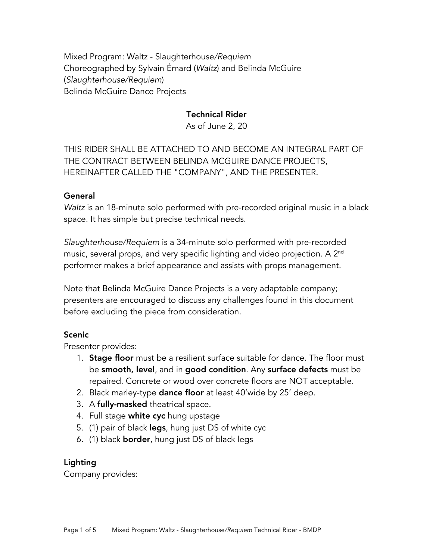Mixed Program: Waltz - Slaughterhouse*/Requiem* Choreographed by Sylvain Émard (*Waltz*) and Belinda McGuire (*Slaughterhouse/Requiem*) Belinda McGuire Dance Projects

## Technical Rider

As of June 2, 20

THIS RIDER SHALL BE ATTACHED TO AND BECOME AN INTEGRAL PART OF THE CONTRACT BETWEEN BELINDA MCGUIRE DANCE PROJECTS, HEREINAFTER CALLED THE "COMPANY", AND THE PRESENTER.

## General

*Waltz* is an 18-minute solo performed with pre-recorded original music in a black space. It has simple but precise technical needs.

*Slaughterhouse/Requiem* is a 34-minute solo performed with pre-recorded music, several props, and very specific lighting and video projection. A 2<sup>nd</sup> performer makes a brief appearance and assists with props management.

Note that Belinda McGuire Dance Projects is a very adaptable company; presenters are encouraged to discuss any challenges found in this document before excluding the piece from consideration.

# Scenic

Presenter provides:

- 1. **Stage floor** must be a resilient surface suitable for dance. The floor must be smooth, level, and in good condition. Any surface defects must be repaired. Concrete or wood over concrete floors are NOT acceptable.
- 2. Black marley-type dance floor at least 40'wide by 25' deep.
- 3. A fully-masked theatrical space.
- 4. Full stage white cyc hung upstage
- 5. (1) pair of black **legs**, hung just DS of white cyc
- 6. (1) black border, hung just DS of black legs

# Lighting

Company provides: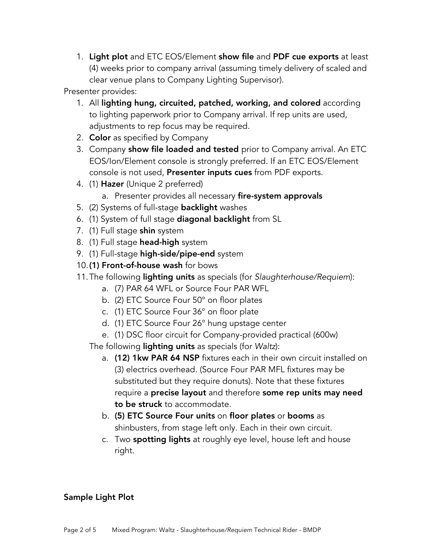1. Light plot and ETC EOS/Element show file and PDF cue exports at least (4) weeks prior to company arrival (assuming timely delivery of scaled and clear venue plans to Company Lighting Supervisor).

Presenter provides:

- 1. All lighting hung, circuited, patched, working, and colored according to lighting paperwork prior to Company arrival. If rep units are used, adjustments to rep focus may be required.
- 2. **Color** as specified by Company
- 3. Company show file loaded and tested prior to Company arrival. An ETC EOS/Ion/Element console is strongly preferred. If an ETC EOS/Element console is not used, Presenter inputs cues from PDF exports.
- 4. (1) Hazer (Unique 2 preferred)
	- a. Presenter provides all necessary fire-system approvals
- 5. (2) Systems of full-stage **backlight** washes
- 6. (1) System of full stage diagonal backlight from SL
- 7. (1) Full stage shin system
- 8. (1) Full stage head-high system
- 9. (1) Full-stage high-side/pipe-end system
- 10.(1) Front-of-house wash for bows
- 11.The following lighting units as specials (for *Slaughterhouse/Requiem*):
	- a. (7) PAR 64 WFL or Source Four PAR WFL
	- b. (2) ETC Source Four 50° on floor plates
	- c. (1) ETC Source Four 36° on floor plate
	- d. (1) ETC Source Four 26° hung upstage center
	- e. (1) DSC floor circuit for Company-provided practical (600w)

The following lighting units as specials (for *Waltz*):

- a. (12) 1kw PAR 64 NSP fixtures each in their own circuit installed on (3) electrics overhead. (Source Four PAR MFL fixtures may be substituted but they require donuts). Note that these fixtures require a precise layout and therefore some rep units may need to be struck to accommodate.
- b. (5) ETC Source Four units on floor plates or booms as shinbusters, from stage left only. Each in their own circuit.
- c. Two **spotting lights** at roughly eye level, house left and house right.

# Sample Light Plot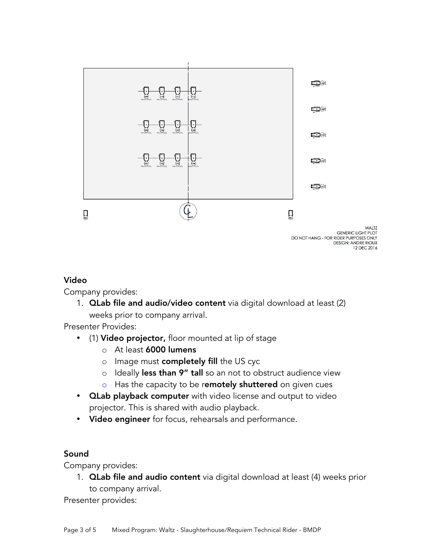

#### Video

Company provides:

1. QLab file and audio/video content via digital download at least (2) weeks prior to company arrival.

Presenter Provides:

- (1) Video projector, floor mounted at lip of stage
	- o At least 6000 lumens
	- o Image must completely fill the US cyc
	- o Ideally less than 9" tall so an not to obstruct audience view
	- $\circ$  Has the capacity to be remotely shuttered on given cues
- **QLab playback computer** with video license and output to video projector. This is shared with audio playback.
- Video engineer for focus, rehearsals and performance.

#### Sound

Company provides:

1. **QLab file and audio content** via digital download at least (4) weeks prior to company arrival.

Presenter provides: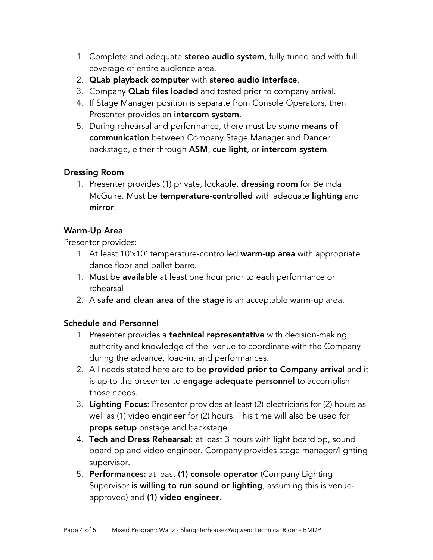- 1. Complete and adequate stereo audio system, fully tuned and with full coverage of entire audience area.
- 2. QLab playback computer with stereo audio interface.
- 3. Company **QLab files loaded** and tested prior to company arrival.
- 4. If Stage Manager position is separate from Console Operators, then Presenter provides an intercom system.
- 5. During rehearsal and performance, there must be some means of communication between Company Stage Manager and Dancer backstage, either through ASM, cue light, or intercom system.

#### Dressing Room

1. Presenter provides (1) private, lockable, **dressing room** for Belinda McGuire. Must be **temperature-controlled** with adequate **lighting** and mirror.

## Warm-Up Area

Presenter provides:

- 1. At least 10'x10' temperature-controlled warm-up area with appropriate dance floor and ballet barre.
- 1. Must be available at least one hour prior to each performance or rehearsal
- 2. A safe and clean area of the stage is an acceptable warm-up area.

# Schedule and Personnel

- 1. Presenter provides a technical representative with decision-making authority and knowledge of the venue to coordinate with the Company during the advance, load-in, and performances.
- 2. All needs stated here are to be **provided prior to Company arrival** and it is up to the presenter to **engage adequate personnel** to accomplish those needs.
- 3. Lighting Focus: Presenter provides at least (2) electricians for (2) hours as well as (1) video engineer for (2) hours. This time will also be used for props setup onstage and backstage.
- 4. Tech and Dress Rehearsal: at least 3 hours with light board op, sound board op and video engineer. Company provides stage manager/lighting supervisor.
- 5. Performances: at least (1) console operator (Company Lighting Supervisor is willing to run sound or lighting, assuming this is venueapproved) and (1) video engineer.